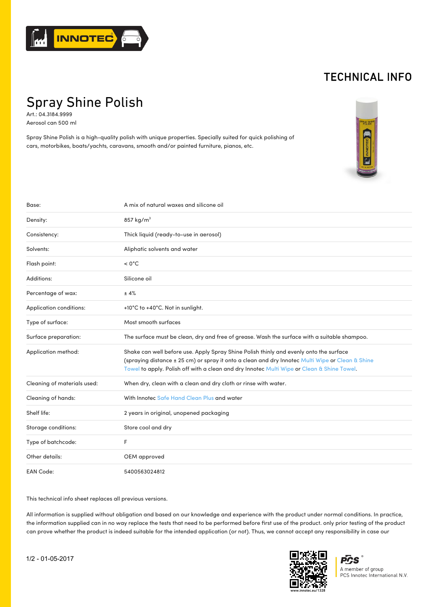

## TECHNICAL INFO

Spray Shine Polish

Art.: 04.3184.9999 Aerosol can 500 ml

Spray Shine Polish is a high-quality polish with unique properties. Specially suited for quick polishing of cars, motorbikes, boats/yachts, caravans, smooth and/or painted furniture, pianos, etc.



| Base:                       | A mix of natural waxes and silicone oil                                                                                                                                                                                                                                                  |
|-----------------------------|------------------------------------------------------------------------------------------------------------------------------------------------------------------------------------------------------------------------------------------------------------------------------------------|
| Density:                    | 857 kg/m <sup>3</sup>                                                                                                                                                                                                                                                                    |
| Consistency:                | Thick liquid (ready-to-use in aerosol)                                                                                                                                                                                                                                                   |
| Solvents:                   | Aliphatic solvents and water                                                                                                                                                                                                                                                             |
| Flash point:                | $< 0^{\circ}$ C                                                                                                                                                                                                                                                                          |
| Additions:                  | Silicone oil                                                                                                                                                                                                                                                                             |
| Percentage of wax:          | ±4%                                                                                                                                                                                                                                                                                      |
| Application conditions:     | +10°C to +40°C. Not in sunlight.                                                                                                                                                                                                                                                         |
| Type of surface:            | Most smooth surfaces                                                                                                                                                                                                                                                                     |
| Surface preparation:        | The surface must be clean, dry and free of grease. Wash the surface with a suitable shampoo.                                                                                                                                                                                             |
| Application method:         | Shake can well before use. Apply Spray Shine Polish thinly and evenly onto the surface<br>(spraying distance ± 25 cm) or spray it onto a clean and dry Innotec Multi Wipe or Clean & Shine<br>Towel to apply. Polish off with a clean and dry Innotec Multi Wipe or Clean & Shine Towel. |
| Cleaning of materials used: | When dry, clean with a clean and dry cloth or rinse with water.                                                                                                                                                                                                                          |
| Cleaning of hands:          | With Innotec Safe Hand Clean Plus and water                                                                                                                                                                                                                                              |
| Shelf life:                 | 2 years in original, unopened packaging                                                                                                                                                                                                                                                  |
| Storage conditions:         | Store cool and dry                                                                                                                                                                                                                                                                       |
| Type of batchcode:          | F                                                                                                                                                                                                                                                                                        |
| Other details:              | OEM approved                                                                                                                                                                                                                                                                             |
| <b>EAN Code:</b>            | 5400563024812                                                                                                                                                                                                                                                                            |

This technical info sheet replaces all previous versions.

All information is supplied without obligation and based on our knowledge and experience with the product under normal conditions. In practice, the information supplied can in no way replace the tests that need to be performed before first use of the product. only prior testing of the product can prove whether the product is indeed suitable for the intended application (or not). Thus, we cannot accept any responsibility in case our



 $\overline{PCS}^*$ A member of group PCS Innotec International N.V.